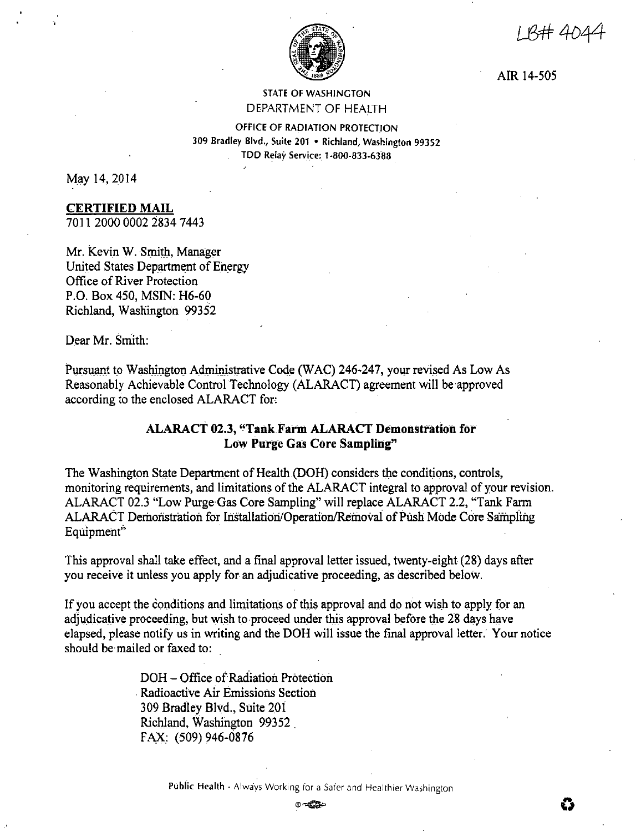1 R# 4044



AIR 14-505

# STATE OF WASHINGTON DEPARTMENT OF HEALTH

OFFICE OF RADIATION PROTECTION 309 Bradley Blvd., Suite 201 • Richland, Washington 99352 TDD Relay Service: 1-800-833-6388

May 14, 2014

# **CERTIFIED MAIL**

701 I 2000 0002 2834 7443

Mr. Kevin W. Smith, Manager United States Department of Energy Office of River Protection P.O. Box 450, MSIN: H6-60 Richland, Washington 99352

Dear Mr. Smith:

Pursuant to Washington Administrative Code (WAC) 246-247, your revised As Low As Reasonably Achievable Control Technology (ALARACT) agreement will be approved according to the enclosed ALARACT for:

# **ALARACT 02.3, "TailkFarm ALARACT Demonstration for Low Purge Gas Core Sampling"**

The Washington State Department of Health.(DOH) considers the conditions, controls, monitoring requirements, and limitations of the ALARACT integral to approval of your revision. ALARACT 02.3 "Low Purge Gas Core Sampling" will replace ALARACT 2.2, "Tank Farm ALARACT Demonstration for Installation/Operation/Removal of Push Mode Core Sampling Equipment

This approval shall take effect, and a final approval letter issued, twenty-eight (28) days after you receive it unless you apply for an adjudicative proceeding, as described below.

If you accept the conditions and limitations of this approval and do not wish to apply for an adjudicative proceeding, but wish to proceed under this approval before the 28 days have elapsed, please notify us in writing and the DOH will issue the final approval letter. Your notice should be mailed or faxed to:

> DOH - Office of Radiation Protection . Radioactive Air Emissions Section 309 Bradley Blvd., Suite 201 Richland, Washington 99352 . FAX: (509) 946-0876

> > Public Health - Always Working for a Safer and Healthier Washington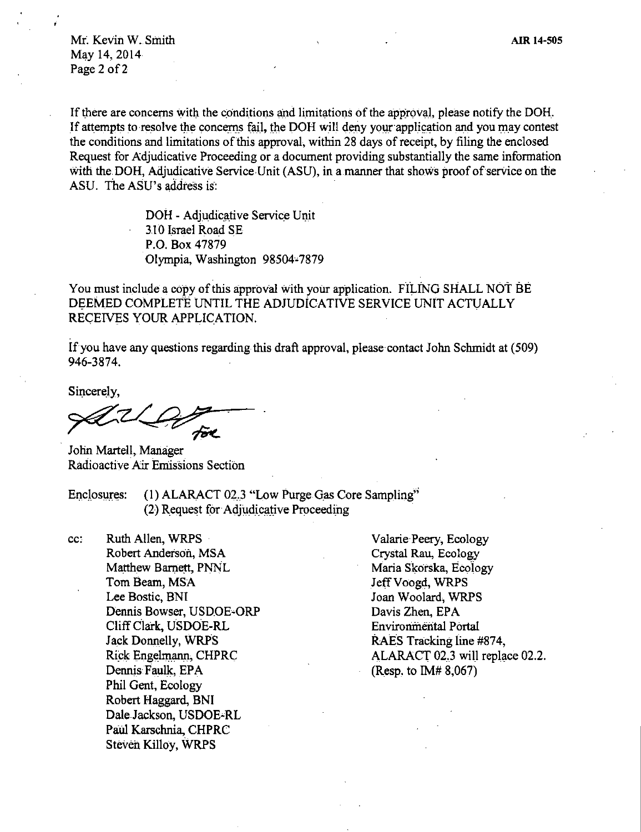Mr. Kevin W. Smith May 14, 2014 Page 2 of 2

If there are concerns with the conditions and limitations of the approval, please notify the DOH. If attempts to resolve the concerns fail, the DOH will deny your application and you may contest the conditions and limitations of this approval, within 28 days of receipt, by filing the enclosed Request for Adjudicative Proceeding or a document providing substantially the same information with the DOH, Adjudicative Service Unit (ASU), in a manner that shows proof of service on the ASU. The ASU's address is:

> DOH - Adjudicative Service Unit 310 Israel Road SE P.O. Box 47879 Olympia, Washington 98504°7879

You must include a copy of this approval with your application. FILING SHALL NOT BE DEEMED COMPLETE UNTIL THE ADJUDICATIVE SERVICE UNIT ACTUALLY RECEIVES YOUR APPLICATION.

If you have any questions regarding this draft approval, please contact John Schmidt at (509) 946-3874.

Sincerely,

John Martell, Manager Radioactive Air Emissions Section

Enclosures: (1) ALARACT 02.3 "Low Purge Gas Core Sampling" (2) Request for Adjudicative Proceeding

cc: Ruth Allen, WRPS Robert Anderson, MSA Matthew Barnett, PNNL Tom Beam, MSA Lee Bostic, BNI Dennis Bowser, USDOE-ORP Cliff Clark, USDOE-RL Jack Donnelly, WRPS Rick Engelmann, CHPRC Dennis Faulk, EPA Phil Gent, Ecology Robert Haggard, BNJ DaleJackson, USDOE-RL Paul Karschnia, CHPRC Steven Killoy, WRPS

Valarie Peery, Ecology Crystal Rau, Ecology Maria Skorska, Ecology Jeff Voogd, WRPS Joan Woolard, WRPS Davis Zhen, EPA Environmental Portal RAES Tracking line #874, ALARACT 02.3 wiU replace 02.2. (Resp. to IM# 8,067)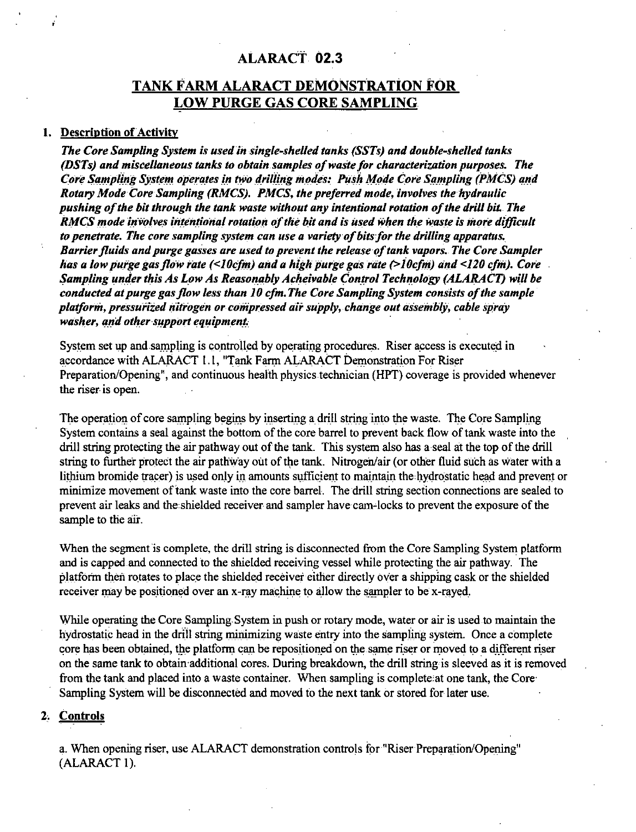# ALARACT 02.3

# **TANK FARM ALARACT DEMONSTRATION FOR LOW PURGE GAS CORE SAMPLING.**

## 1. Description of Activity

The Core Sampling System is used in single-shelled tanks (SSTs) and double-shelled tanks (DSTs) and miscellaneous tanks to obtain samples of waste for characterization purposes. The Core Sampling System operates in two drilling modes: Push Mode Core Sampling (PMCS) and Rotary Mode Core Sampling (RMCS). PMCS, the preferred mode, involves the hydraulic pushing of the bit through the tank waste without any intentional rotation of the drill bit. The RMCS mode involves intentional rotation of the bit and is used when the waste is more difficult to penetrate. The core sampling system can use a variety of bits for the drilling apparatus. Barrier fluids and purge gasses are used to prevent the release of tank vapors. The Core Sampler has a low purge gas flow rate (<10cfm) and a high purge gas rate (>10cfm) and <120 cfm). Core Sampling under this As Low As Reasonably Acheivable Control Technology (ALARACT) will be conducted at purge gas flow less than 10 cfm. The Core Sampling System consists of the sample platform, pressurized nitrogen or compressed air supply, change out assembly, cable spray washer, and other support equipment.

System set up and sampling is controlled by operating procedures. Riser access is executed in accordance with ALARACT 1.1, "Tank Farm ALARACT Demonstration For Riser Preparation/Opening", and continuous health physics technician (HPT) coverage is provided whenever the riser is open.

The operation of core sampling begins by inserting a drill string into the waste. The Core Sampling System contains a seal against the bottom of the core barrel to prevent back flow of tank waste into the drill string protecting the air pathway out of the tank. This system also has a seal at the top of the drill string to further protect the air pathway out of the tank. Nitrogen/air (or other fluid such as water with a lithium bromide tracer) is used only in amounts sufficient to maintain the hydrostatic head and prevent or minimize movement of tank waste into the core barrel. The drill string section connections are sealed to prevent air leaks and the shielded receiver and sampler have cam-locks to prevent the exposure of the sample to the air.

When the segment is complete, the drill string is disconnected from the Core Sampling System platform and is capped and connected to the shielded receiving vessel while protecting the air pathway. The platform then rotates to place the shielded receiver either directly over a shipping cask or the shielded receiver may be positioned over an x-ray machine to allow the sampler to be x-rayed.

While operating the Core Sampling System in push or rotary mode, water or air is used to maintain the hydrostatic head in the drill string minimizing waste entry into the sampling system. Once a complete core has been obtained, the platform can be repositioned on the same riser or moved to a different riser on the same tank to obtain additional cores. During breakdown, the drill string is sleeved as it is removed from the tank and placed into a waste container. When sampling is complete at one tank, the Core Sampling System will be disconnected and moved to the next tank or stored for later use.

#### 2. Controls

a. When opening riser, use ALARACT demonstration controls for "Riser Preparation/Opening" (ALARACT 1).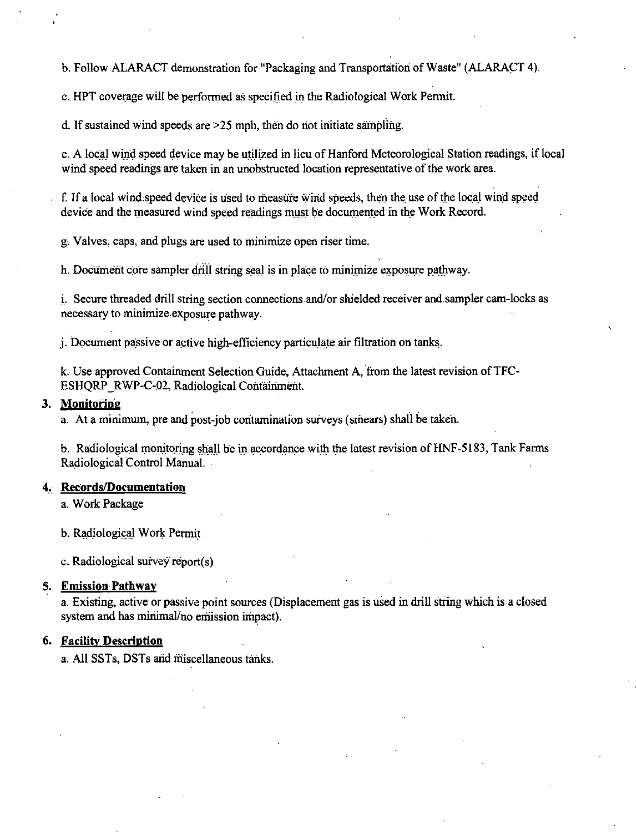b. Follow ALARACT demonstration for "Packaging and Transportation of Waste" (ALARACT 4).

c. HPT coverage will be performed as specified in the Radiological Work Permit.

d. If sustained wind speeds are  $>25$  mph, then do not initiate sampling.

e. A local wind speed device may be utilized in lieu of Hanford Meteorological Station readings, if local wind speed readings are taken in an unobstructed location representative of the work area.

f. If a local wind, speed device is used to measure wind speeds, then the use of the local wind speed device and the measured wind speed readings must be documented in the Work Record.

g, Valves, caps, and plugs are used to minimize open riser time.

h. Document core sampler drill string seal is in place to minimize exposure pathway.

i. Secure threaded drill string section connections and/or shielded receiver and.sampler cam-locks as necessary to minimize exposure pathway.

j. Document passive or active high-efficiency particulate air filtration on tanks.

k. Use approved Containment Selection Guide, Attachment A, from the latest revision of TFC-ESHORP RWP-C-02, Radiological Containment.

# **3. Monitoring**

a. At a minimum, pre and post-job contamination surveys (smears) shall be taken.

b. Radiological monitoring shall be in accordance with the latest revision of HNF-5183, Tank Farms Radiological Control Manual.

### **4, Records/Documentation**

a. Work Package

b. Radiological Work Permit

c. Radiological survey report(s)

## **5. Emission Pathway**

a. Existing, active or passive point sources (Displacement gas is used in drill string which is a closed system and has minimal/no emission impact).

# **6. Facility Description**

a. All SSTs, DSTs arid miscellaneous tariks.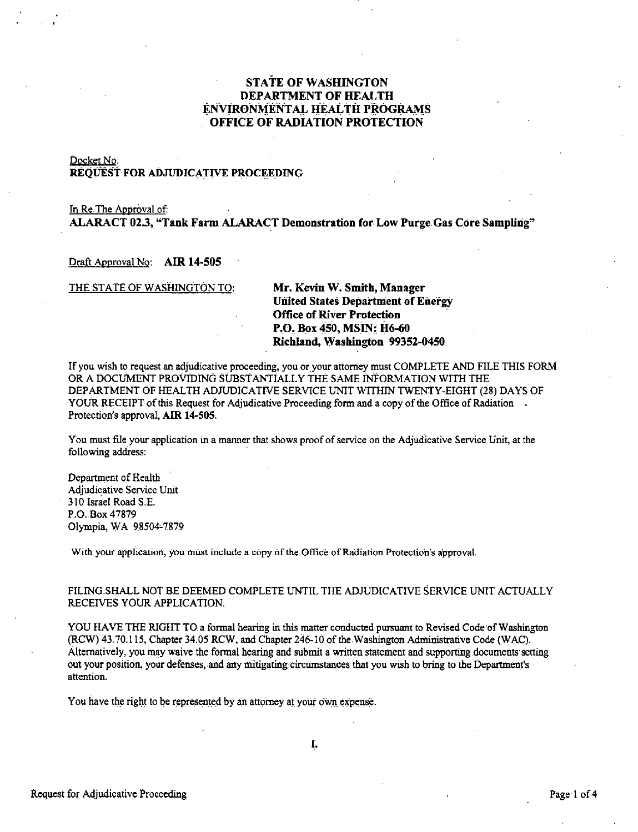# **STATE OF WASHINGTON DEPARTMENT OF HEALTH ENVIRONMENTAL HEALTH PROGRAMS OFFICE OF RADIATION PROTECTION**

#### Docket No: **REQUEST FOR ADJUDICATIVE PROCEEDING**

## In Re.The Approval of: **ALARACT 02.3, "Tank Farm ALARACT Demonstration for. Low Purge.Gas Core Sampling"**

#### Draft Approval No: **AIR 14-505**

THE STATE OF WASHINGTON TO: **Mr. Kevin W. Smith, Manager** 

**Uiiited States Department of Energy Office of River Protection P.O. Box 450, MSIN: H6-60 Richland, Washington 99352-0450** 

If you wish to request an adjudicative proceeding, you or your attorney must COMPLETE AND FILE THIS FORM OR A DOCUMENT PROVIDING SUBSTANTIALLY THE SAME INFORMATION WITH THE DEPARTMENT OF HEALTH ADJUDICATIVE SERVICE UNIT WITHIN TWENTY-EIGHT (28) DAYS OF YOUR RECEIPT of this Request for Adjudicative Proceeding form and a copy of the Office of Radiation. Protection's approval, **AIR 14-505,** 

You must file your application in a manner that shows proof of service on the Adjudicative Service Unit, at the following address:

Department of Health Adjudicative Service Unit 310 Israel Road S.E. P.O. Box 47879 Olympia, WA 98504-7879

With your application, you must include a copy of the Office of Radiation Protection's approval.

#### FILING.SHALL NOT BE DEEMED COMPLETE UNTIL THE ADJUDICATIVE SERVICE UNIT ACTUALLY RECEIVES YOUR APPLICATION.

YOU HAVE THE RIGHT TO a formal hearing in this matter conducted pursuant to Revised Code of Washington (RCW) 43.70.115, Chapter 34.05 RCW, and Chapter 246-10 of the Washington Administrative Code (WAC). Alternatively, you may waive the formal hearing and submit a written statement and supporting documents setting out your position, your defenses, and any mitigating circumstances that you wish to bring to the Department's **attention.** 

You have the right to be represented by an attorney at your own expense.

I.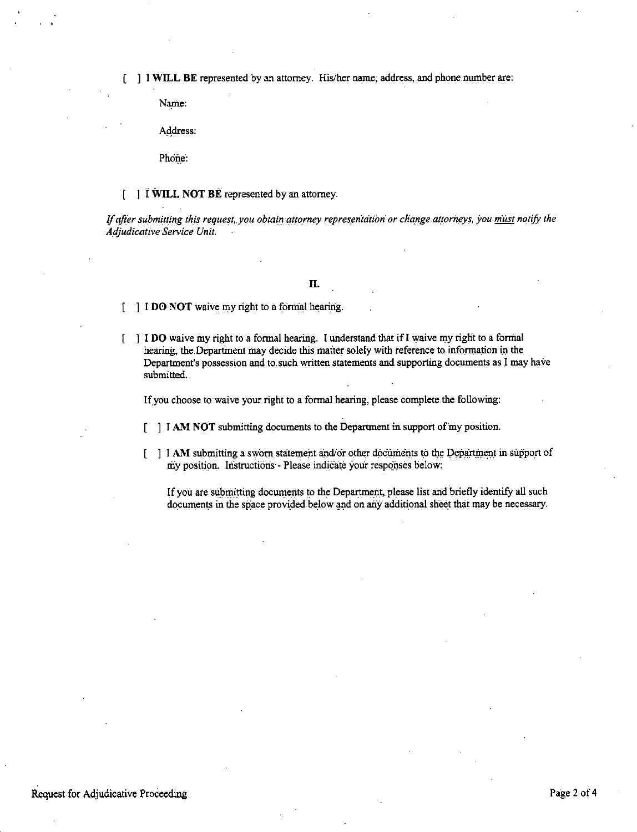[ ] I WILL BE represented by an attorney. His/her name, address, and phone number are:

Name:

Address:

Phone:

 $\int$   $\int$   $\ddot{I}$  WILL NOT BE represented by an attorney.

If after submitting this request, you obtain attorney representation or change attorneys, you must notify the Adjudicative Service Unit.

# Π.

[ ] I DO NOT waive my right to a formal hearing.

[ ] I DO waive my right to a formal hearing. I understand that if I waive my right to a formal hearing, the Department may decide this matter solely with reference to information in the Department's possession and to such written statements and supporting documents as I may have submitted.

If you choose to waive your right to a formal hearing, please complete the following:

- $\lceil$  | I AM NOT submitting documents to the Department in support of my position.
- [ ] I AM submitting a sworn statement and/or other documents to the Department in support of my position. Instructions - Please indicate your responses below:

If you are submitting documents to the Department, please list and briefly identify all such documents in the space provided below and on any additional sheet that may be necessary.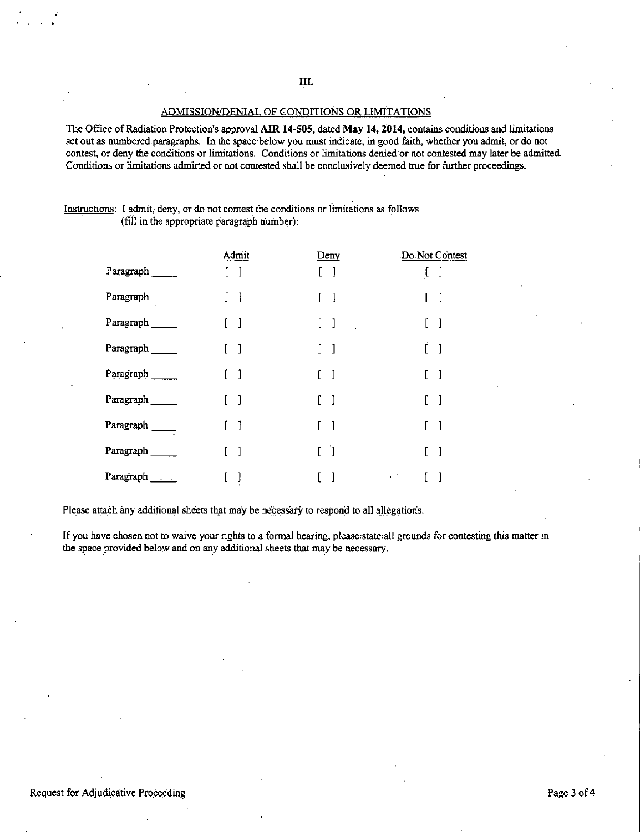**III.** 

#### ADMISSION/DENIAL OF CONDITIONS OR LiMITA TIONS

The Office of Radiation Protection's approval **AIR 14-505, dated May 14, 2014,** contains conditions and limitations set out as numbered.paragraphs. In the space below you must indicate, in good faith, whether you admit, or do not contest, or deny the conditions or limitations. Conditions or limitations denied or not contested may later be admitted. Conditions or limitations admitted or not contested shall be conclusively deemed true for further proceedings.

### Instructions: I admit, deny, or do not contest the conditions or limitations as follows (fiii in the appropriate paragraph number):

|                    | Admit        | Deny                                | Do Not Contest                                 |
|--------------------|--------------|-------------------------------------|------------------------------------------------|
| Paragraph          | -1           | $\begin{array}{c} \end{array}$<br>L | ſ                                              |
| Paragraph ________ | -1           | $\lceil$                            |                                                |
| Paragraph          | - 1          | $\lceil$<br>Ĺ                       | $\mathbf{l}$                                   |
| Paragraph          | -1           | $\mathbf{1}$                        | 1                                              |
| Paragraph          | -1           | ſ                                   | 1                                              |
| Paragraph          | -1           |                                     | $\mathbf{l}$                                   |
| Paragraph          | $\mathbf{I}$ |                                     | ſ.<br>$\mathbf{l}$                             |
| Paragraph          |              | ſ<br>$\Box$                         | $\mathbf{u}$ .<br>$\mathbf{L}$<br>$\mathbf{I}$ |
| Paragraph          | 1            |                                     | $\epsilon$ .                                   |

Please attach any additional sheets that may be necessary to respond to all allegations.

If you have chosen not to waive your rights to a formal hearing, please state all grounds for contesting this matter in the space provided below and on any additional sheets that may be necessary.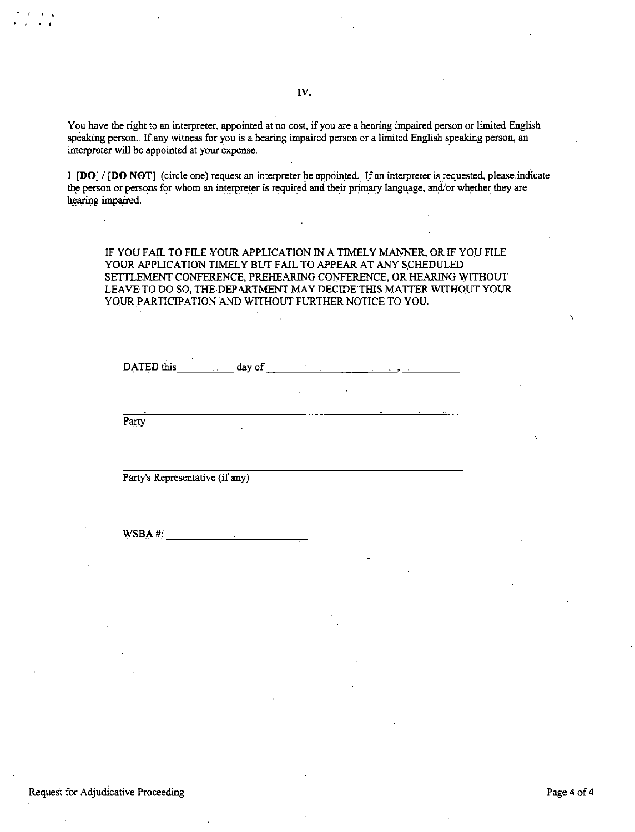You have the right to an interpreter, appointed at no cost, if you are a hearing impaired person or limited English speaking person. If any witness for you is a hearing impaired person or a limited English speaking person, an interpreter will be appointed at your expense.

IV.

I **[DO] / [DO NOT]** (circle one) request an interpreter be appointed. If an interpreter is requested, please indicate the person or persons for whom an interpreter is required and their primary language, and/or whether they are hearing impaired.

IF YOU FAIL TO FILE YOUR APPLICATION IN A TIMELY MANNER, OR IF YOU FILE YOUR APPLICATION TIMELY BUT FAIL TO APPEAR AT ANY SCHEDULED SETTLEMENT CONFERENCE, PREHEARING CONFERENCE, OR HEARING WITHOUT LEAVE TO DO SO, THE DEPARTMENT MAY DECIDE THIS MATTER WITHOUT YOUR YOUR PARTICIPATION AND WITHOUT FURTHER NOTICE TO YOU.

DATED this \_\_ ~~\_day of \_\_\_\_ ~---~~·~----

Party

' .

Party's Representative (if any)

 $WSBA#:$ 

#### Request for Adjudicative Proceeding Page 4 of 4